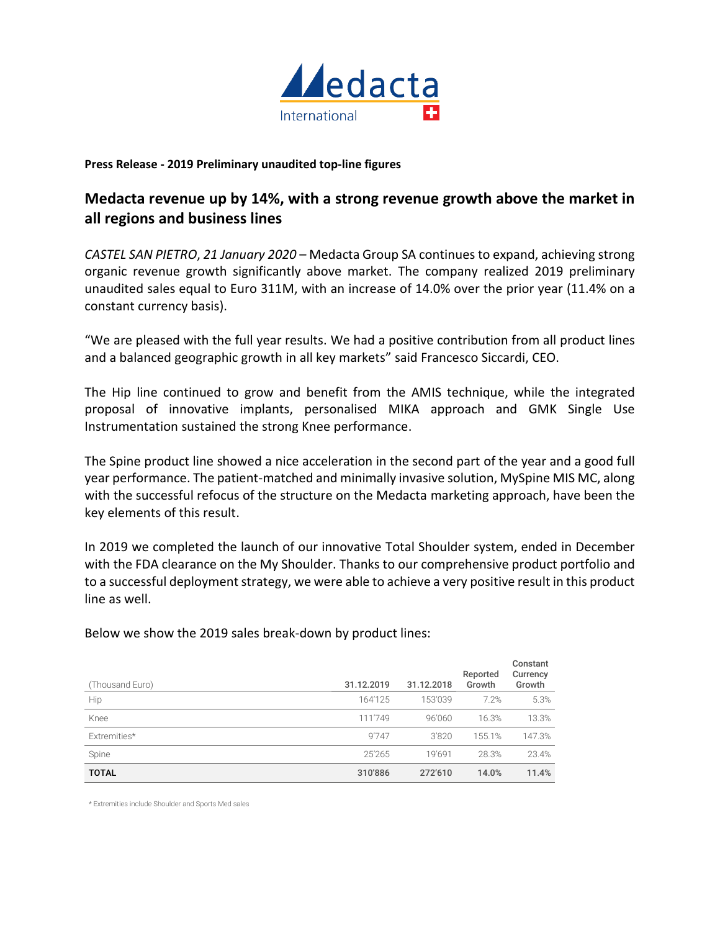

**Press Release - 2019 Preliminary unaudited top-line figures** 

## **Medacta revenue up by 14%, with a strong revenue growth above the market in all regions and business lines**

*CASTEL SAN PIETRO*, *21 January 2020* – Medacta Group SA continues to expand, achieving strong organic revenue growth significantly above market. The company realized 2019 preliminary unaudited sales equal to Euro 311M, with an increase of 14.0% over the prior year (11.4% on a constant currency basis).

"We are pleased with the full year results. We had a positive contribution from all product lines and a balanced geographic growth in all key markets" said Francesco Siccardi, CEO.

The Hip line continued to grow and benefit from the AMIS technique, while the integrated proposal of innovative implants, personalised MIKA approach and GMK Single Use Instrumentation sustained the strong Knee performance.

The Spine product line showed a nice acceleration in the second part of the year and a good full year performance. The patient-matched and minimally invasive solution, MySpine MIS MC, along with the successful refocus of the structure on the Medacta marketing approach, have been the key elements of this result.

In 2019 we completed the launch of our innovative Total Shoulder system, ended in December with the FDA clearance on the My Shoulder. Thanks to our comprehensive product portfolio and to a successful deployment strategy, we were able to achieve a very positive result in this product line as well.

Below we show the 2019 sales break-down by product lines:

| (Thousand Euro) | 31.12.2019 | 31.12.2018 | Reported<br>Growth | Constant<br>Currency<br>Growth |
|-----------------|------------|------------|--------------------|--------------------------------|
| Hip             | 164'125    | 153'039    | 7.2%               | 5.3%                           |
| Knee            | 111'749    | 96'060     | 16.3%              | 13.3%                          |
| Extremities*    | 9'747      | 3'820      | 155.1%             | 147.3%                         |
| Spine           | 25'265     | 19'691     | 28.3%              | 23.4%                          |
| <b>TOTAL</b>    | 310'886    | 272'610    | 14.0%              | 11.4%                          |

\* Extremities include Shoulder and Sports Med sales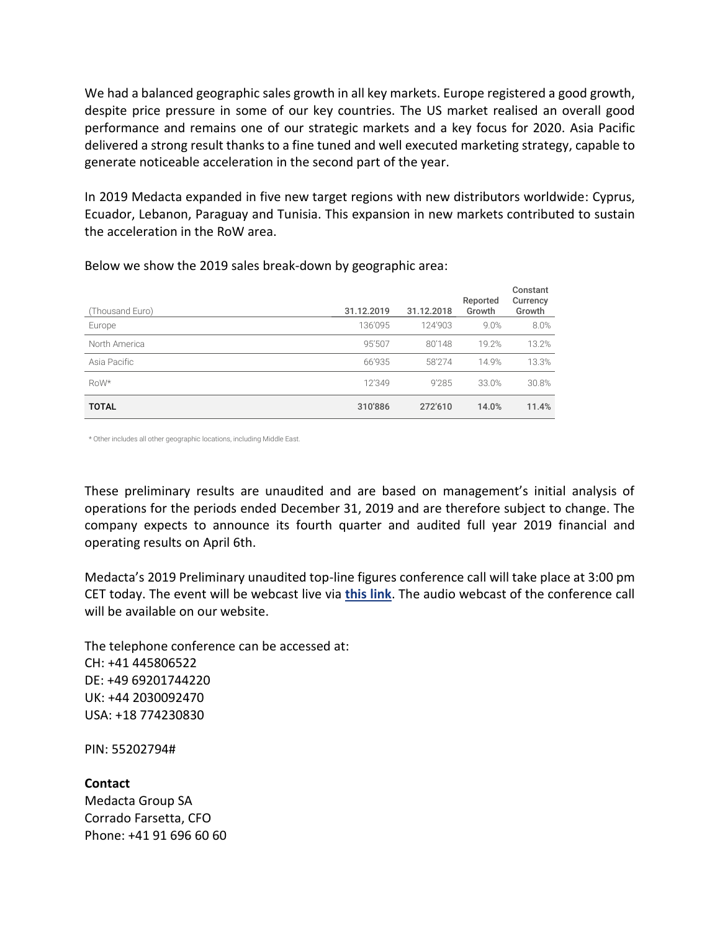We had a balanced geographic sales growth in all key markets. Europe registered a good growth, despite price pressure in some of our key countries. The US market realised an overall good performance and remains one of our strategic markets and a key focus for 2020. Asia Pacific delivered a strong result thanks to a fine tuned and well executed marketing strategy, capable to generate noticeable acceleration in the second part of the year.

In 2019 Medacta expanded in five new target regions with new distributors worldwide: Cyprus, Ecuador, Lebanon, Paraguay and Tunisia. This expansion in new markets contributed to sustain the acceleration in the RoW area.

| (Thousand Euro) | 31.12.2019 | 31.12.2018 | Reported<br>Growth | Constant<br>Currency<br>Growth |
|-----------------|------------|------------|--------------------|--------------------------------|
| Europe          | 136'095    | 124'903    | 9.0%               | 8.0%                           |
| North America   | 95'507     | 80'148     | 19.2%              | 13.2%                          |
| Asia Pacific    | 66'935     | 58'274     | 14.9%              | 13.3%                          |
| RoW*            | 12'349     | 9'285      | 33.0%              | 30.8%                          |
| <b>TOTAL</b>    | 310'886    | 272'610    | 14.0%              | 11.4%                          |

Below we show the 2019 sales break-down by geographic area:

\* Other includes all other geographic locations, including Middle East.

These preliminary results are unaudited and are based on management's initial analysis of operations for the periods ended December 31, 2019 and are therefore subject to change. The company expects to announce its fourth quarter and audited full year 2019 financial and operating results on April 6th.

Medacta's 2019 Preliminary unaudited top-line figures conference call will take place at 3:00 pm CET today. The event will be webcast live via **[this link](https://webcasts.eqs.com/medacta20200121)**. The audio webcast of the conference call will be available on our website.

The telephone conference can be accessed at: CH: +41 445806522 DE: +49 69201744220 UK: +44 2030092470 USA: +18 774230830

PIN: 55202794#

## **Contact**

Medacta Group SA Corrado Farsetta, CFO Phone: +41 91 696 60 60